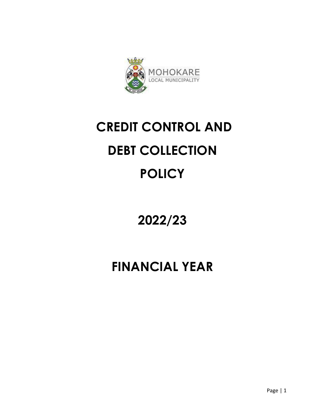

# **CREDIT CONTROL AND DEBT COLLECTION POLICY**

# **2022/23**

# **FINANCIAL YEAR**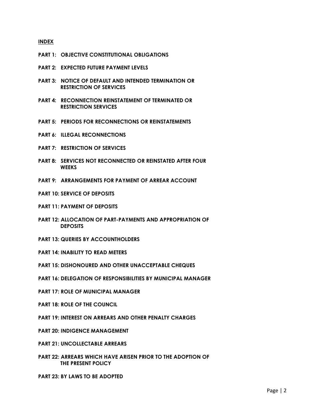#### **INDEX**

- **PART 1: OBJECTIVE CONSTITUTIONAL OBLIGATIONS**
- **PART 2: EXPECTED FUTURE PAYMENT LEVELS**
- **PART 3: NOTICE OF DEFAULT AND INTENDED TERMINATION OR RESTRICTION OF SERVICES**
- **PART 4: RECONNECTION REINSTATEMENT OF TERMINATED OR RESTRICTION SERVICES**
- **PART 5: PERIODS FOR RECONNECTIONS OR REINSTATEMENTS**
- **PART 6: ILLEGAL RECONNECTIONS**
- **PART 7: RESTRICTION OF SERVICES**
- **PART 8: SERVICES NOT RECONNECTED OR REINSTATED AFTER FOUR WEEKS**
- **PART 9: ARRANGEMENTS FOR PAYMENT OF ARREAR ACCOUNT**
- **PART 10: SERVICE OF DEPOSITS**
- **PART 11: PAYMENT OF DEPOSITS**
- **PART 12: ALLOCATION OF PART-PAYMENTS AND APPROPRIATION OF DEPOSITS**
- **PART 13: QUERIES BY ACCOUNTHOLDERS**
- **PART 14: INABILITY TO READ METERS**
- **PART 15: DISHONOURED AND OTHER UNACCEPTABLE CHEQUES**
- **PART 16: DELEGATION OF RESPONSIBILITIES BY MUNICIPAL MANAGER**
- **PART 17: ROLE OF MUNICIPAL MANAGER**
- **PART 18: ROLE OF THE COUNCIL**
- **PART 19: INTEREST ON ARREARS AND OTHER PENALTY CHARGES**
- **PART 20: INDIGENCE MANAGEMENT**
- **PART 21: UNCOLLECTABLE ARREARS**
- **PART 22: ARREARS WHICH HAVE ARISEN PRIOR TO THE ADOPTION OF THE PRESENT POLICY**
- **PART 23: BY LAWS TO BE ADOPTED**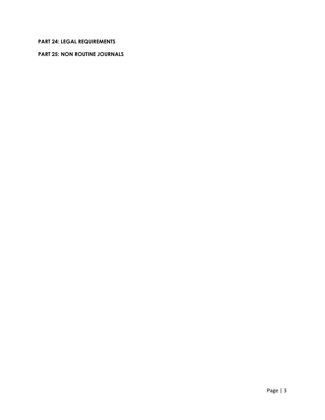# **PART 24: LEGAL REQUIREMENTS**

#### **PART 25: NON ROUTINE JOURNALS**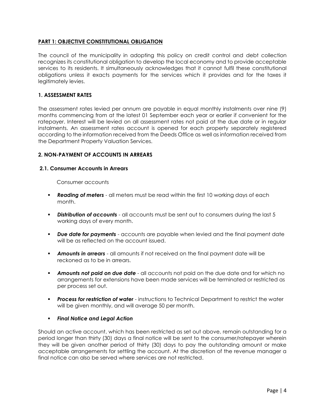### **PART 1: OBJECTIVE CONSTITUTIONAL OBLIGATION**

The council of the municipality in adopting this policy on credit control and debt collection recognizes its constitutional obligation to develop the local economy and to provide acceptable services to its residents. It simultaneously acknowledges that it cannot fulfil these constitutional obligations unless it exacts payments for the services which it provides and for the taxes it legitimately levies.

#### **1. ASSESSMENT RATES**

The assessment rates levied per annum are payable in equal monthly instalments over nine (9) months commencing from at the latest 01 September each year or earlier if convenient for the ratepayer. Interest will be levied on all assessment rates not paid at the due date or in regular instalments. An assessment rates account is opened for each property separately registered according to the information received from the Deeds Office as well as information received from the Department Property Valuation Services.

#### **2. NON-PAYMENT OF ACCOUNTS IN ARREARS**

#### **2.1. Consumer Accounts in Arrears**

Consumer accounts

- **Reading of meters** all meters must be read within the first 10 working days of each month.
- **Distribution of accounts** all accounts must be sent out to consumers during the last 5 working days of every month.
- *Due date for payments* accounts are payable when levied and the final payment date will be as reflected on the account issued.
- **Amounts in arrears** all amounts if not received on the final payment date will be reckoned as to be in arrears.
- *Amounts not paid on due date* all accounts not paid on the due date and for which no arrangements for extensions have been made services will be terminated or restricted as per process set out.
- **Process for restriction of water** instructions to Technical Department to restrict the water will be given monthly, and will average 50 per month.
- *Final Notice and Legal Action*

Should an active account, which has been restricted as set out above, remain outstanding for a period longer than thirty (30) days a final notice will be sent to the consumer/ratepayer wherein they will be given another period of thirty (30) days to pay the outstanding amount or make acceptable arrangements for settling the account. At the discretion of the revenue manager a final notice can also be served where services are not restricted.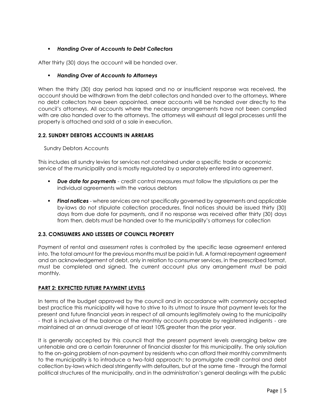## *Handing Over of Accounts to Debt Collectors*

After thirty (30) days the account will be handed over.

#### *Handing Over of Accounts to Attorneys*

When the thirty (30) day period has lapsed and no or insufficient response was received, the account should be withdrawn from the debt collectors and handed over to the attorneys. Where no debt collectors have been appointed, arrear accounts will be handed over directly to the council's attorneys. All accounts where the necessary arrangements have not been complied with are also handed over to the attorneys. The attorneys will exhaust all legal processes until the property is attached and sold at a sale in execution.

#### **2.2. SUNDRY DEBTORS ACCOUNTS IN ARREARS**

#### Sundry Debtors Accounts

This includes all sundry levies for services not contained under a specific trade or economic service of the municipality and is mostly regulated by a separately entered into agreement.

- *Due date for payments* credit control measures must follow the stipulations as per the individual agreements with the various debtors
- **Final notices** where services are not specifically governed by agreements and applicable by-laws do not stipulate collection procedures, final notices should be issued thirty (30) days from due date for payments, and if no response was received after thirty (30) days from then, debts must be handed over to the municipality's attorneys for collection

#### **2.3. CONSUMERS AND LESSEES OF COUNCIL PROPERTY**

Payment of rental and assessment rates is controlled by the specific lease agreement entered into. The total amount for the previous months must be paid in full. A formal repayment agreement and an acknowledgement of debt, only in relation to consumer services, in the prescribed format, must be completed and signed. The current account plus any arrangement must be paid monthly.

#### **PART 2: EXPECTED FUTURE PAYMENT LEVELS**

In terms of the budget approved by the council and in accordance with commonly accepted best practice this municipality will have to strive to its utmost to insure that payment levels for the present and future financial years in respect of all amounts legitimately owing to the municipality - that is inclusive of the balance of the monthly accounts payable by registered indigents - are maintained at an annual average of at least 10% greater than the prior year.

It is generally accepted by this council that the present payment levels averaging below are untenable and are a certain forerunner of financial disaster for this municipality. The only solution to the on-going problem of non-payment by residents who can afford their monthly commitments to the municipality is to introduce a two-fold approach: to promulgate credit control and debt collection by-laws which deal stringently with defaulters, but at the same time - through the formal political structures of the municipality, and in the administration's general dealings with the public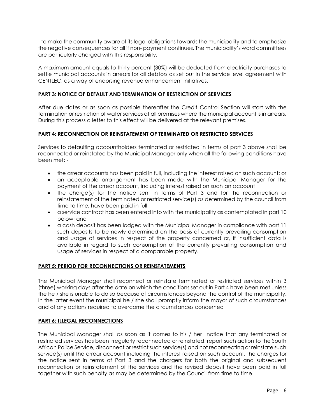- to make the community aware of its legal obligations towards the municipality and to emphasize the negative consequences for all if non- payment continues. The municipality's ward committees are particularly charged with this responsibility.

A maximum amount equals to thirty percent (30%) will be deducted from electricity purchases to settle municipal accounts in arrears for all debtors as set out in the service level agreement with CENTLEC, as a way of endorsing revenue enhancement initiatives.

#### **PART 3: NOTICE OF DEFAULT AND TERMINATION OF RESTRICTION OF SERVICES**

After due dates or as soon as possible thereafter the Credit Control Section will start with the termination or restriction of water services at all premises where the municipal account is in arrears. During this process a letter to this effect will be delivered at the relevant premises.

#### **PART 4: RECONNECTION OR REINSTATEMENT OF TERMINATED OR RESTRICTED SERVICES**

Services to defaulting accountholders terminated or restricted in terms of part 3 above shall be reconnected or reinstated by the Municipal Manager only when all the following conditions have been met: -

- the arrear accounts has been paid in full, including the interest raised on such account; or
- an acceptable arrangement has been made with the Municipal Manager for the payment of the arrear account, including interest raised on such an account
- the charge(s) for the notice sent in terms of Part 3 and for the reconnection or reinstatement of the terminated or restricted service(s) as determined by the council from time to time, have been paid in full
- a service contract has been entered into with the municipality as contemplated in part 10 below; and
- a cash deposit has been lodged with the Municipal Manager in compliance with part 11 such deposits to be newly determined on the basis of currently prevailing consumption and usage of services in respect of the property concerned or, if insufficient data is available in regard to such consumption of the currently prevailing consumption and usage of services in respect of a comparable property.

#### **PART 5: PERIOD FOR RECONNECTIONS OR REINSTATEMENTS**

The Municipal Manager shall reconnect or reinstate terminated or restricted services within 3 (three) working days after the date on which the conditions set out in Part 4 have been met unless the he / she is unable to do so because of circumstances beyond the control of the municipality. In the latter event the municipal he / she shall promptly inform the mayor of such circumstances and of any actions required to overcome the circumstances concerned

#### **PART 6: ILLEGAL RECONNECTIONS**

The Municipal Manager shall as soon as it comes to his / her notice that any terminated or restricted services has been irregularly reconnected or reinstated, report such action to the South African Police Service, disconnect or restrict such service(s) and not reconnecting or reinstate such service(s) until the arrear account including the interest raised on such account, the charges for the notice sent in terms of Part 3 and the chargers for both the original and subsequent reconnection or reinstatement of the services and the revised deposit have been paid in full together with such penalty as may be determined by the Council from time to time.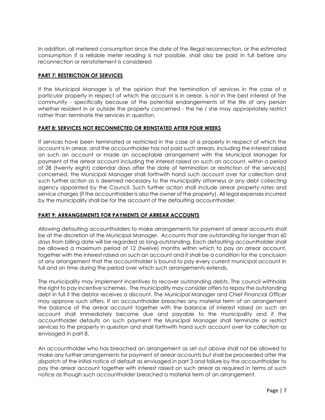In addition, all metered consumption since the date of the illegal reconnection, or the estimated consumption if a reliable meter reading is not possible, shall also be paid in full before any reconnection or reinstatement is considered

#### **PART 7: RESTRICTION OF SERVICES**

If the Municipal Manager is of the opinion that the termination of services in the case of a particular property in respect of which the account is in arrear, is not in the best interest of the community - specifically because of the potential endangerments of the life of any person whether resident in or outside the property concerned - the he / she may appropriately restrict rather than terminate the services in question.

#### **PART 8: SERVICES NOT RECONNECTED OR REINSTATED AFTER FOUR WEEKS**

If services have been terminated or restricted in the case of a property in respect of which the account is in arrear, and the accountholder has not paid such arrears, including the interest raised on such an account or made an acceptable arrangement with the Municipal Manager for payment of the arrear account including the interest raised on such an account, within a period of 28 (twenty eight) calendar days after the date of termination or restriction of the service(s) concerned, the Municipal Manager shall forthwith hand such account over for collection and such further action as is deemed necessary to the municipality attorneys or any debt collecting agency appointed by the Council. Such further action shall include arrear property rates and service charges (if the accountholder is also the owner of the property). All legal expenses incurred by the municipality shall be for the account of the defaulting accountholder.

# **PART 9: ARRANGEMENTS FOR PAYMENTS OF ARREAR ACCOUNTS**

Allowing defaulting accountholders to make arrangements for payment of arrear accounts shall be at the discretion of the Municipal Manager. Accounts that are outstanding for longer than 60 days from billing date will be regarded as long-outstanding. Each defaulting accountholder shall be allowed a maximum period of 12 (twelve) months within which to pay an arrear account, together with the interest raised on such an account and it shall be a condition for the conclusion of any arrangement that the accountholder is bound to pay every current municipal account in full and on time during the period over which such arrangements extends.

The municipality may implement incentives to recover outstanding debts. The council withholds the right to pay incentive schemes. The municipality may consider offers to repay the outstanding debt in full if the debtor receives a discount. The Municipal Manager and Chief Financial Officer may approve such offers. If an accountholder breaches any material term of an arrangement the balance of the arrear account together with the balance of interest raised on such an account shall immediately become due and payable to the municipality and if the accountholder defaults on such payment the Municipal Manager shall terminate or restrict services to the property in question and shall forthwith hand such account over for collection as envisaged in part 8.

An accountholder who has breached an arrangement as set out above shall not be allowed to make any further arrangements for payment of arrear accounts but shall be proceeded after the dispatch of the initial notice of default as envisaged in part 3 and failure by the accountholder to pay the arrear account together with interest raised on such arrear as required in terms of such notice as though such accountholder breached a material term of an arrangement.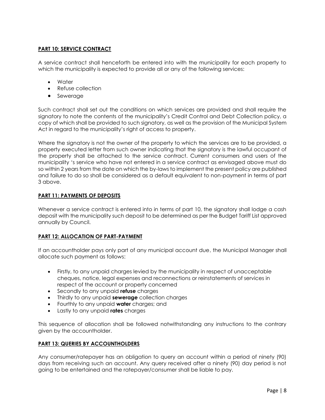# **PART 10: SERVICE CONTRACT**

A service contract shall henceforth be entered into with the municipality for each property to which the municipality is expected to provide all or any of the following services:

- Water
- Refuse collection
- Sewerage

Such contract shall set out the conditions on which services are provided and shall require the signatory to note the contents of the municipality's Credit Control and Debt Collection policy, a copy of which shall be provided to such signatory, as well as the provision of the Municipal System Act in regard to the municipality's right of access to property.

Where the signatory is not the owner of the property to which the services are to be provided, a property executed letter from such owner indicating that the signatory is the lawful occupant of the property shall be attached to the service contract. Current consumers and users of the municipality 's service who have not entered in a service contract as envisaged above must do so within 2 years from the date on which the by-laws to implement the present policy are published and failure to do so shall be considered as a default equivalent to non-payment in terms of part 3 above.

#### **PART 11: PAYMENTS OF DEPOSITS**

Whenever a service contract is entered into in terms of part 10, the signatory shall lodge a cash deposit with the municipality such deposit to be determined as per the Budget Tariff List approved annually by Council.

#### **PART 12: ALLOCATION OF PART-PAYMENT**

If an accountholder pays only part of any municipal account due, the Municipal Manager shall allocate such payment as follows:

- Firstly, to any unpaid charges levied by the municipality in respect of unacceptable cheques, notice, legal expenses and reconnections or reinstatements of services in respect of the account or property concerned
- Secondly to any unpaid **refuse** charges
- Thirdly to any unpaid **sewerage** collection charges
- Fourthly to any unpaid **water** charges; and
- Lastly to any unpaid **rates** charges

This sequence of allocation shall be followed notwithstanding any instructions to the contrary given by the accountholder.

#### **PART 13: QUERIES BY ACCOUNTHOLDERS**

Any consumer/ratepayer has an obligation to query an account within a period of ninety (90) days from receiving such an account. Any query received after a ninety (90) day period is not going to be entertained and the ratepayer/consumer shall be liable to pay.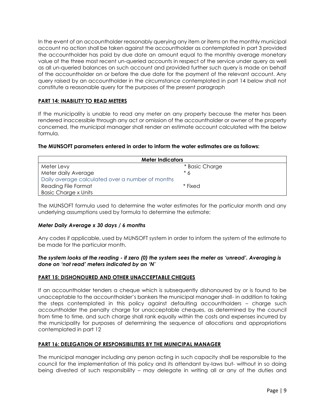In the event of an accountholder reasonably querying any item or items on the monthly municipal account no action shall be taken against the accountholder as contemplated in part 3 provided the accountholder has paid by due date an amount equal to the monthly average monetary value of the three most recent un-queried accounts in respect of the service under query as well as all un-queried balances on such account and provided further such query is made on behalf of the accountholder on or before the due date for the payment of the relevant account. Any query raised by an accountholder in the circumstance contemplated in part 14 below shall not constitute a reasonable query for the purposes of the present paragraph

# **PART 14: INABILITY TO READ METERS**

If the municipality is unable to read any meter on any property because the meter has been rendered inaccessible through any act or omission of the accountholder or owner of the property concerned, the municipal manager shall render an estimate account calculated with the below formula.

#### **The MUNSOFT parameters entered in order to inform the water estimates are as follows:**

| <b>Meter Indicators</b>                          |                |  |
|--------------------------------------------------|----------------|--|
| Meter Levy                                       | * Basic Charge |  |
| Meter daily Average                              | * 6            |  |
| Daily average calculated over a number of months |                |  |
| Reading File Format                              | * Fixed        |  |
| <b>Basic Charge x Units</b>                      |                |  |

The MUNSOFT formula used to determine the water estimates for the particular month and any underlying assumptions used by formula to determine the estimate:

#### *Meter Daily Average x 30 days / 6 months*

Any codes if applicable, used by MUNSOFT system in order to inform the system of the estimate to be made for the particular month.

#### *The system looks at the reading - if zero (0) the system sees the meter as 'unread'. Averaging is done on 'not read' meters indicated by an 'N'*

#### **PART 15: DISHONOURED AND OTHER UNACCEPTABLE CHEQUES**

If an accountholder tenders a cheque which is subsequently dishonoured by or is found to be unacceptable to the accountholder's bankers the municipal manager shall- in addition to taking the steps contemplated in this policy against defaulting accountholders – charge such accountholder the penalty charge for unacceptable cheques, as determined by the council from time to time, and such charge shall rank equally within the costs and expenses incurred by the municipality for purposes of determining the sequence of allocations and appropriations contemplated in part 12

#### **PART 16: DELEGATION OF RESPONSIBILITIES BY THE MUNICIPAL MANAGER**

The municipal manager including any person acting in such capacity shall be responsible to the council for the implementation of this policy and its attendant by-laws but- without in so doing being divested of such responsibility – may delegate in writing all or any of the duties and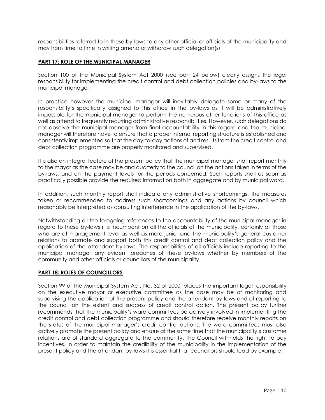responsibilities referred to in these by-laws to any other official or officials of the municipality and may from time to time in writing amend or withdraw such delegation(s)

#### **PART 17: ROLE OF THE MUNICIPAL MANAGER**

Section 100 of the Municipal System Act 2000 (see part 24 below) clearly assigns the legal responsibility for implementing the credit control and debt collection policies and by-laws to the municipal manager.

In practice however the municipal manager will inevitably delegate some or many of the responsibility's specifically assigned to this office in the by-laws as it will be administratively impossible for the municipal manager to perform the numerous other functions of this office as well as attend to frequently recurring administrative responsibilities. However, such delegations do not absolve the municipal manager from final accountability in this regard and the municipal manager will therefore have to ensure that a proper internal reporting structure is established and consistently implemented so that the day-to-day actions of and results from the credit control and debt collection programme are properly monitored and supervised.

It is also an integral feature of the present policy that the municipal manager shall report monthly to the mayor as the case may be and quarterly to the council on the actions taken in terms of the by-laws, and on the payment levels for the periods concerned. Such reports shall as soon as practically possible provide the required information both in aggregate and by municipal ward.

In addition, such monthly report shall indicate any administrative shortcomings, the measures taken or recommended to address such shortcomings and any actions by council which reasonably be interpreted as consulting interference in the application of the by-laws.

Notwithstanding all the foregoing references to the accountability of the municipal manager in regard to these by-laws it is incumbent on all the officials of the municipality, certainly all those who are at management level as well as more junior and the municipality's general customer relations to promote and support both this credit control and debt collection policy and the application of the attendant by-laws. The responsibilities of all officials include reporting to the municipal manager any evident breaches of these by-laws whether by members of the community and other officials or councillors of the municipality

#### **PART 18: ROLES OF COUNCILLORS**

Section 99 of the Municipal System Act, No. 32 of 2000, places the important legal responsibility on the executive mayor or executive committee as the case may be of monitoring and supervising the application of the present policy and the attendant by-laws and of reporting to the council on the extent and success of credit control action. The present policy further recommends that the municipality's ward committees be actively involved in implementing the credit control and debt collection programme and should therefore receive monthly reports on the status of the municipal manager's credit control actions. The ward committees must also actively promote the present policy and ensure at the same time that the municipality's customer relations are of standard aggregate to the community. The Council withholds the right to pay incentives. In order to maintain the credibility of the municipality in the implementation of the present policy and the attendant by-laws it is essential that councillors should lead by example.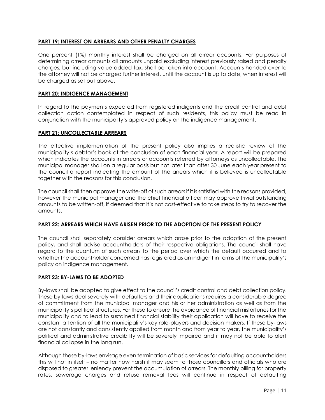#### **PART 19: INTEREST ON ARREARS AND OTHER PENALTY CHARGES**

One percent (1%) monthly interest shall be charged on all arrear accounts. For purposes of determining arrear amounts all amounts unpaid excluding interest previously raised and penalty charges, but including value added tax, shall be taken into account. Accounts handed over to the attorney will not be charged further interest, until the account is up to date, when interest will be charged as set out above.

#### **PART 20: INDIGENCE MANAGEMENT**

In regard to the payments expected from registered indigents and the credit control and debt collection action contemplated in respect of such residents, this policy must be read in conjunction with the municipality's approved policy on the indigence management.

#### **PART 21: UNCOLLECTABLE ARREARS**

The effective implementation of the present policy also implies a realistic review of the municipality's debtor's book at the conclusion of each financial year. A report will be prepared which indicates the accounts in arrears or accounts referred by attorneys as uncollectable. The municipal manager shall on a regular basis but not later than after 30 June each year present to the council a report indicating the amount of the arrears which it is believed is uncollectable together with the reasons for this conclusion.

The council shall then approve the write-off of such arrears if it is satisfied with the reasons provided, however the municipal manager and the chief financial officer may approve trivial outstanding amounts to be written-off, if deemed that it's not cost-effective to take steps to try to recover the amounts.

#### **PART 22: ARREARS WHICH HAVE ARISEN PRIOR TO THE ADOPTION OF THE PRESENT POLICY**

The council shall separately consider arrears which arose prior to the adoption of the present policy, and shall advise accountholders of their respective obligations. The council shall have regard to the quantum of such arrears to the period over which the default occurred and to whether the accountholder concerned has registered as an indigent in terms of the municipality's policy on indigence management.

#### **PART 23: BY-LAWS TO BE ADOPTED**

By-laws shall be adopted to give effect to the council's credit control and debt collection policy. These by-laws deal severely with defaulters and their applications requires a considerable degree of commitment from the municipal manager and his or her administration as well as from the municipality's political structures. For these to ensure the avoidance of financial misfortunes for the municipality and to lead to sustained financial stability their application will have to receive the constant attention of all the municipality's key role-players and decision makers. If these by-laws are not constantly and consistently applied from month and from year to year, the municipality's political and administrative credibility will be severely impaired and it may not be able to alert financial collapse in the long run.

Although these by-laws envisage even termination of basic services for defaulting accountholders this will not in itself – no matter how harsh it may seem to those councillors and officials who are disposed to greater leniency prevent the accumulation of arrears. The monthly billing for property rates, sewerage charges and refuse removal fees will continue in respect of defaulting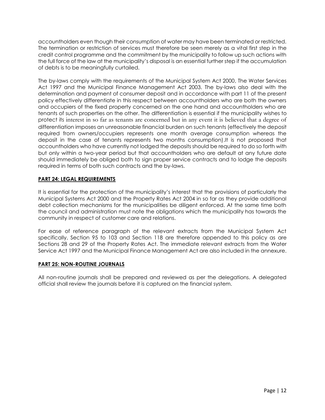accountholders even though their consumption of water may have been terminated or restricted. The termination or restriction of services must therefore be seen merely as a vital first step in the credit control programme and the commitment by the municipality to follow up such actions with the full force of the law at the municipality's disposal is an essential further step if the accumulation of debts is to be meaningfully curtailed.

The by-laws comply with the requirements of the Municipal System Act 2000, The Water Services Act 1997 and the Municipal Finance Management Act 2003. The by-laws also deal with the determination and payment of consumer deposit and in accordance with part 11 of the present policy effectively differentiate in this respect between accountholders who are both the owners and occupiers of the fixed property concerned on the one hand and accountholders who are tenants of such properties on the other. The differentiation is essential if the municipality wishes to protect its interest in so far as tenants are concerned but in any event it is believed that a degree of differentiation imposes an unreasonable financial burden on such tenants (effectively the deposit required from owners/occupiers represents one month average consumption whereas the deposit in the case of tenants represents two months consumption).It is not proposed that accountholders who have currently not lodged the deposits should be required to do so forth with but only within a two-year period but that accountholders who are default at any future date should immediately be obliged both to sign proper service contracts and to lodge the deposits required in terms of both such contracts and the by-laws.

# **PART 24: LEGAL REQUIREMENTS**

It is essential for the protection of the municipality's interest that the provisions of particularly the Municipal Systems Act 2000 and the Property Rates Act 2004 in so far as they provide additional debt collection mechanisms for the municipalities be diligent enforced. At the same time both the council and administration must note the obligations which the municipality has towards the community in respect of customer care and relations.

For ease of reference paragraph of the relevant extracts from the Municipal System Act specifically, Section 95 to 103 and Section 118 are therefore appended to this policy as are Sections 28 and 29 of the Property Rates Act. The immediate relevant extracts from the Water Service Act 1997 and the Municipal Finance Management Act are also included in the annexure.

#### **PART 25: NON-ROUTINE JOURNALS**

All non-routine journals shall be prepared and reviewed as per the delegations. A delegated official shall review the journals before it is captured on the financial system.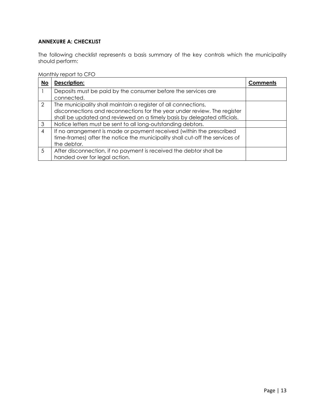# **ANNEXURE A: CHECKLIST**

The following checklist represents a basis summary of the key controls which the municipality should perform:

#### Monthly report to CFO

| <b>No</b>      | Description:                                                                                                                                                                                                          | Comments |
|----------------|-----------------------------------------------------------------------------------------------------------------------------------------------------------------------------------------------------------------------|----------|
|                | Deposits must be paid by the consumer before the services are<br>connected.                                                                                                                                           |          |
| $\mathcal{L}$  | The municipality shall maintain a register of all connections,<br>disconnections and reconnections for the year under review. The register<br>shall be updated and reviewed on a timely basis by delegated officials. |          |
| 3              | Notice letters must be sent to all long-outstanding debtors.                                                                                                                                                          |          |
| $\overline{4}$ | If no arrangement is made or payment received (within the prescribed<br>time-frames) after the notice the municipality shall cut-off the services of<br>the debtor.                                                   |          |
| 5              | After disconnection, if no payment is received the debtor shall be<br>handed over for legal action.                                                                                                                   |          |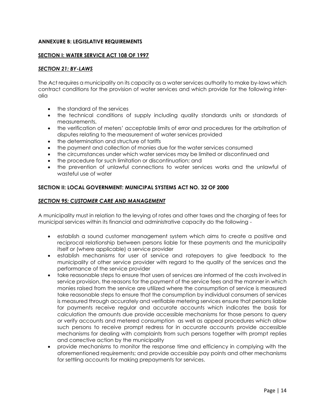#### **ANNEXURE B: LEGISLATIVE REQUIREMENTS**

#### **SECTION I: WATER SERVICE ACT 108 OF 1997**

#### *SECTION 21: BY-LAWS*

The Act requires a municipality on its capacity as a water services authority to make by-laws which contract conditions for the provision of water services and which provide for the following interalia

- the standard of the services
- the technical conditions of supply including quality standards units or standards of measurements,
- the verification of meters' acceptable limits of error and procedures for the arbitration of disputes relating to the measurement of water services provided
- the determination and structure of tariffs
- the payment and collection of monies due for the water services consumed
- the circumstances under which water services may be limited or discontinued and
- the procedure for such limitation or discontinuation; and
- the prevention of unlawful connections to water services works and the unlawful of wasteful use of water

#### **SECTION II: LOCAL GOVERNMENT: MUNICIPAL SYSTEMS ACT NO. 32 OF 2000**

#### *SECTION 95: CUSTOMER CARE AND MANAGEMENT*

A municipality must in relation to the levying of rates and other taxes and the charging of fees for municipal services within its financial and administrative capacity do the following -

- establish a sound customer management system which aims to create a positive and reciprocal relationship between persons liable for these payments and the municipality itself or (where applicable) a service provider
- establish mechanisms for user of service and ratepayers to give feedback to the municipality of other service provider with regard to the quality of the services and the performance of the service provider
- take reasonable steps to ensure that users of services are informed of the costs involved in service provision, the reasons for the payment of the service fees and the manner in which monies raised from the service are utilized where the consumption of service is measured take reasonable steps to ensure that the consumption by individual consumers of services is measured through accurately and verifiable metering services ensure that persons liable for payments receive regular and accurate accounts which indicates the basis for calculation the amounts due provide accessible mechanisms for those persons to query or verify accounts and metered consumption as well as appeal procedures which allow such persons to receive prompt redress for in accurate accounts provide accessible mechanisms for dealing with complaints from such persons together with prompt replies and corrective action by the municipality
- provide mechanisms to monitor the response time and efficiency in complying with the aforementioned requirements; and provide accessible pay points and other mechanisms for settling accounts for making prepayments for services.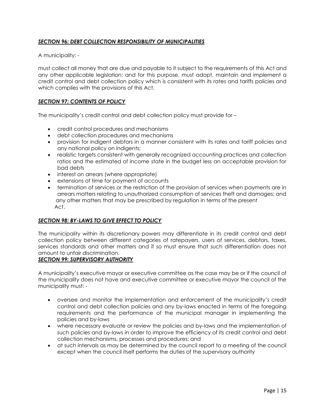# *SECTION 96: DEBT COLLECTION RESPONSIBILITY OF MUNICIPALITIES*

A municipality: -

must collect all money that are due and payable to it subject to the requirements of this Act and any other applicable legislation; and for this purpose, must adopt, maintain and implement a credit control and debt collection policy which is consistent with its rates and tariffs policies and which complies with the provisions of this Act.

#### *SECTION 97: CONTENTS OF POLICY*

The municipality's credit control and debt collection policy must provide for –

- credit control procedures and mechanisms
- debt collection procedures and mechanisms
- provision for indigent debtors in a manner consistent with its rates and tariff policies and any national policy on indigents;
- realistic targets consistent with generally recognized accounting practices and collection ratios and the estimated of income state in the budget less an acceptable provision for bad debts
- interest on arrears (where appropriate)
- extensions of time for payment of accounts
- termination of services or the restriction of the provision of services when payments are in arrears matters relating to unauthorized consumption of services theft and damages; and any other matters that may be prescribed by regulation in terms of the present Act.

#### *SECTION 98: BY-LAWS TO GIVE EFFECT TO POLICY*

The municipality within its discretionary powers may differentiate in its credit control and debt collection policy between different categories of ratepayers, users of services, debtors, taxes, services standards and other matters and if so must ensure that such differentiation does not amount to unfair discrimination.

#### *SECTION 99: SUPERVISORY AUTHORITY*

A municipality's executive mayor or executive committee as the case may be or if the council of the municipality does not have and executive committee or executive mayor the council of the municipality must: -

- oversee and monitor the implementation and enforcement of the municipality's credit control and debt collection policies and any by-laws enacted in terms of the foregoing requirements and the performance of the municipal manager in implementing the policies and by-laws
- where necessary evaluate or review the policies and by-laws and the implementation of such policies and by-laws in order to improve the efficiency of its credit control and debt collection mechanisms, processes and procedures; and
- at such intervals as may be determined by the council report to a meeting of the council except when the council itself performs the duties of the supervisory authority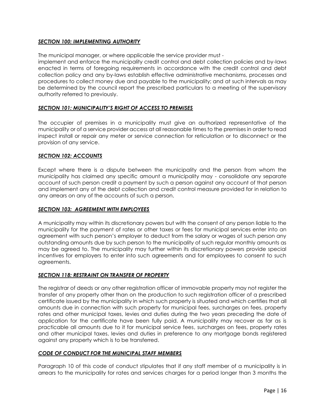#### *SECTION 100: IMPLEMENTING AUTHORITY*

The municipal manager, or where applicable the service provider must -

implement and enforce the municipality credit control and debt collection policies and by-laws enacted in terms of foregoing requirements in accordance with the credit control and debt collection policy and any by-laws establish effective administrative mechanisms, processes and procedures to collect money due and payable to the municipality; and at such intervals as may be determined by the council report the prescribed particulars to a meeting of the supervisory authority referred to previously.

#### *SECTION 101: MUNICIPALITY'S RIGHT OF ACCESS TO PREMISES*

The occupier of premises in a municipality must give an authorized representative of the municipality or of a service provider access at all reasonable times to the premises in order to read inspect install or repair any meter or service connection for reticulation or to disconnect or the provision of any service.

#### *SECTION 102: ACCOUNTS*

Except where there is a dispute between the municipality and the person from whom the municipality has claimed any specific amount a municipality may - consolidate any separate account of such person credit a payment by such a person against any account of that person and implement any of the debt collection and credit control measure provided for in relation to any arrears on any of the accounts of such a person.

#### *SECTION 103: AGREEMENT WITH EMPLOYEES*

A municipality may within its discretionary powers but with the consent of any person liable to the municipality for the payment of rates or other taxes or fees for municipal services enter into an agreement with such person's employer to deduct from the salary or wages of such person any outstanding amounts due by such person to the municipality of such regular monthly amounts as may be agreed to. The municipality may further within its discretionary powers provide special incentives for employers to enter into such agreements and for employees to consent to such agreements.

#### *SECTION 118: RESTRAINT ON TRANSFER OF PROPERTY*

The registrar of deeds or any other registration officer of immovable property may not register the transfer of any property other than on the production to such registration officer of a prescribed certificate issued by the municipality in which such property is situated and which certifies that all amounts due in connection with such property for municipal fees, surcharges on fees, property rates and other municipal taxes, levies and duties during the two years preceding the date of application for the certificate have been fully paid. A municipality may recover as far as is practicable all amounts due to it for municipal service fees, surcharges on fees, property rates and other municipal taxes, levies and duties in preference to any mortgage bonds registered against any property which is to be transferred.

#### *CODE OF CONDUCT FOR THE MUNICIPAL STAFF MEMBERS*

Paragraph 10 of this code of conduct stipulates that if any staff member of a municipality is in arrears to the municipality for rates and services charges for a period longer than 3 months the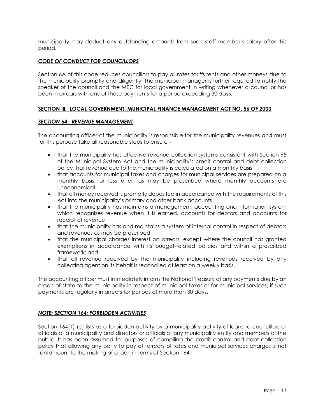municipality may deduct any outstanding amounts from such staff member's salary after this period.

#### *CODE OF CONDUCT FOR COUNCILLORS*

Section 6A of this code reduces councillors to pay all rates tariffs rents and other moneys due to the municipality promptly and diligently. The municipal manager is further required to notify the speaker of the council and the MEC for local government in writing whenever a councillor has been in arrears with any of these payments for a period exceeding 30 days.

#### **SECTION lll: LOCAL GOVERNMENT: MUNICIPAL FINANCE MANAGEMENT ACT NO. 56 OF 2003**

#### *SECTION 64: REVENUE MANAGEMENT*

The accounting officer of the municipality is responsible for the municipality revenues and must for this purpose take all reasonable steps to ensure –

- that the municipality has effective revenue collection systems consistent with Section 95 of the Municipal System Act and the municipality's credit control and debt collection policy that revenue due to the municipality is calculated on a monthly basis
- that accounts for municipal taxes and charges for municipal services are prepared on a monthly basis, or less often as may be prescribed where monthly accounts are uneconomical
- that all money received is promptly deposited in accordance with the requirements of this Act into the municipality's primary and other bank accounts
- that the municipality has maintains a management, accounting and information system which recognizes revenue when it is earned, accounts for debtors and accounts for receipt of revenue
- that the municipality has and maintains a system of internal control in respect of debtors and revenues as may be prescribed
- that the municipal charges interest on arrears, except where the council has granted exemptions in accordance with its budget-related policies and within a prescribed framework; and
- that all revenue received by the municipality including revenues received by any collecting agent on its behalf is reconciled at least on a weekly basis.

The accounting officer must immediately inform the National Treasury of any payments due by an organ of state to the municipality in respect of municipal taxes or for municipal services, if such payments are regularly in arrears for periods of more than 30 days.

#### *NOTE: SECTION 164: FORBIDDEN ACTIVITIES*

Section 164(1) (c) lists as a forbidden activity by a municipality activity of loans to councillors or officials of a municipality and directors or officials of any municipality entity and members of the public. It has been assumed for purposes of compiling the credit control and debt collection policy that allowing any party to pay off arrears of rates and municipal services charges is not tantamount to the making of a loan in terms of Section 164.